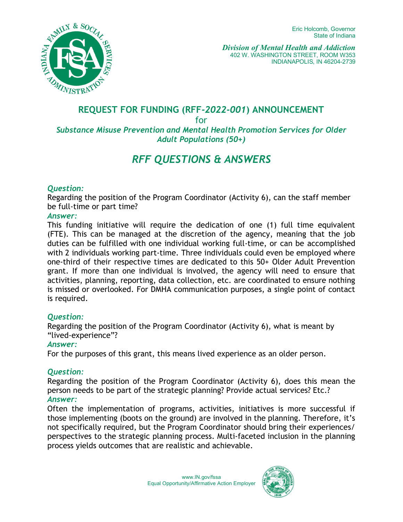

# **REQUEST FOR FUNDING (RFF***-2022-001***) ANNOUNCEMENT**

for

# *Substance Misuse Prevention and Mental Health Promotion Services for Older Adult Populations (50+)*

# *RFF QUESTIONS & ANSWERS*

### *Question:*

Regarding the position of the Program Coordinator (Activity 6), can the staff member be full-time or part time?

#### *Answer:*

This funding initiative will require the dedication of one (1) full time equivalent (FTE). This can be managed at the discretion of the agency, meaning that the job duties can be fulfilled with one individual working full-time, or can be accomplished with 2 individuals working part-time. Three individuals could even be employed where one-third of their respective times are dedicated to this 50+ Older Adult Prevention grant. If more than one individual is involved, the agency will need to ensure that activities, planning, reporting, data collection, etc. are coordinated to ensure nothing is missed or overlooked. For DMHA communication purposes, a single point of contact is required.

#### *Question:*

Regarding the position of the Program Coordinator (Activity 6), what is meant by "lived-experience"?

#### *Answer:*

For the purposes of this grant, this means lived experience as an older person.

# *Question:*

Regarding the position of the Program Coordinator (Activity 6), does this mean the person needs to be part of the strategic planning? Provide actual services? Etc.? *Answer:*

Often the implementation of programs, activities, initiatives is more successful if those implementing (boots on the ground) are involved in the planning. Therefore, it's not specifically required, but the Program Coordinator should bring their experiences/ perspectives to the strategic planning process. Multi-faceted inclusion in the planning process yields outcomes that are realistic and achievable.